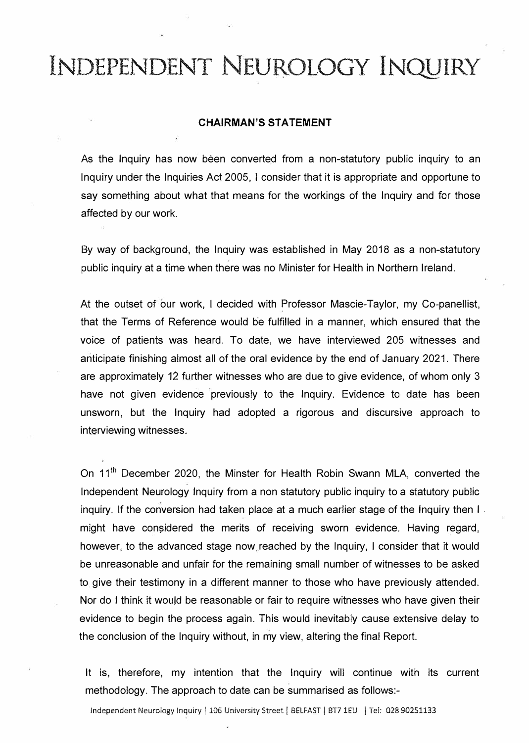#### **CHAIRMAN'S STATEMENT**

As the Inquiry has now been converted from a non-statutory public inquiry to an Inquiry under the Inquiries Act 2005, I consider that it is appropriate and opportune to say something about what that means for the workings of the Inquiry and for those affected by our work.

By way of background, the Inquiry was established in May 2018 as a non-statutory public inquiry at a time when there was no Minister for Health in Northern Ireland.

At the outset of our work, I decided with Professor Mascie-Taylor, my Co-panellist, that the Terms of Reference would be fulfilled in a manner, which ensured that the voice of patients was heard. To date, we have interviewed 205 witnesses and anticipate finishing almost all of the oral evidence by the end of January 2021. There are approximately 12 further witnesses who are due to give evidence, of whom only 3 have not given evidence previously to the Inquiry. Evidence to date has been unsworn, but the Inquiry had adopted a rigorous and discursive approach to interviewing witnesses.

On 11<sup>th</sup> December 2020, the Minster for Health Robin Swann MLA, converted the Independent Neurology Inquiry from a non statutory public inquiry to a statutory public inquiry. If the conversion had taken place at a much earlier stage of the Inquiry then I . might have considered the merits of receiving sworn evidence. Having regard, however, to the advanced stage now reached by the Inquiry, I consider that it would be unreasonable and unfair for the remaining small number of witnesses to be asked to give their testimony in a different manner to those who have previously attended. Nor do I think it would be reasonable or fair to require witnesses who have given their evidence to begin the process again. This would inevitably cause extensive delay to the conclusion of the Inquiry without, in my view, altering the final Report.

It is, therefore, my intention that the Inquiry will continue with its current methodology. The approach to date can be summarised as follows:-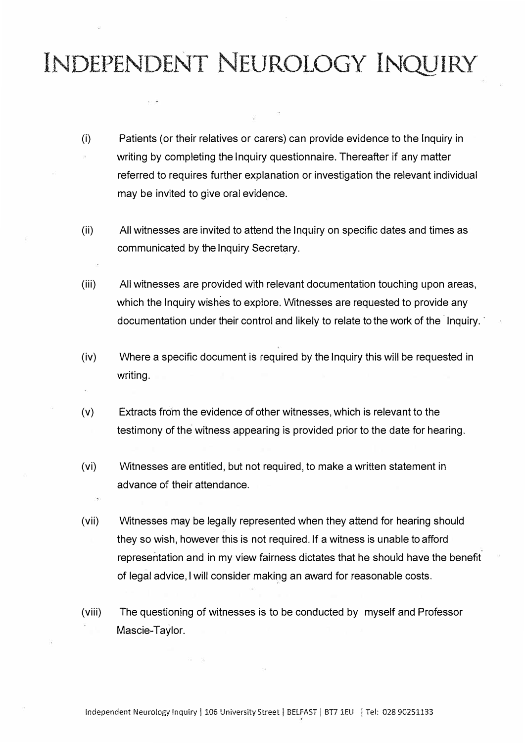- (i) Patients (or their relatives or carers) can provide evidence to the Inquiry in writing by completing the Inquiry questionnaire. Thereafter if any matter referred to requires further explanation or investigation the relevant individual may be invited to give oral evidence.
- (ii) All witnesses are invited to attend the Inquiry on specific dates and times as communicated by the Inquiry Secretary.
- (iii) All witnesses are provided with relevant documentation touching upon areas, which the Inquiry wishes to explore. Witnesses are requested to provide any documentation under their control and likely to relate to the work of the lnquiry.
- (iv) Where a specific document is required by the Inquiry this will be requested in writing.
- (v) Extracts from the evidence of other witnesses, which is relevant to the testimony of the witness appearing is provided prior to the date for hearing.
- (vi) Witnesses are entitled, but not required, to make a written statement in advance of their attendance.
- (vii) Witnesses may be legally represented when they attend for hearing should they so wish, however this is not required. If a witness is unable to afford representation and in my view fairness dictates that he should have the benefit of legal advice, I will consider making an award for reasonable costs.
- (viii) The questioning of witnesses is to be conducted by myself and Professor Mascie-Taylor.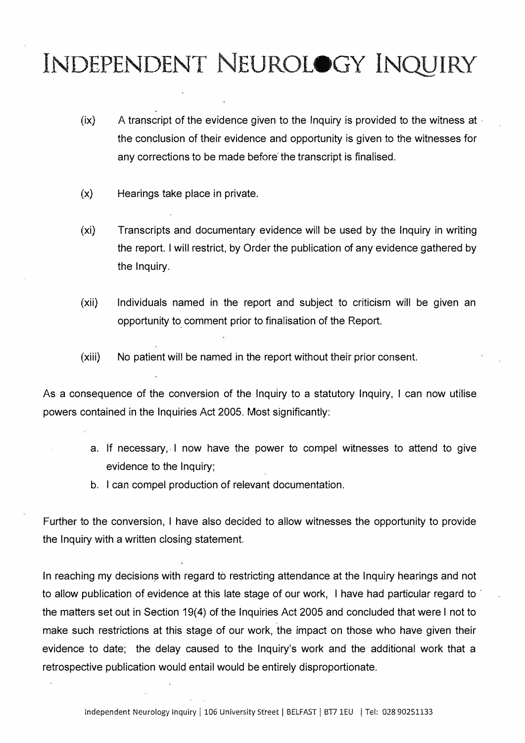- (ix) A transcript of the evidence given to the Inquiry is provided to the witness at · the conclusion of their evidence and opportunity is given to the witnesses for any corrections to be made before the transcript is finalised.
- (x) Hearings take place in private.
- (xi) Transcripts and documentary evidence will be used by the Inquiry in writing the report. I will restrict, by Order the publication of any evidence gathered by the Inquiry.
- (xii) Individuals named in the report and subject to criticism will be given an opportunity to\_ comment prior to finalisation of the Report.
- (xiii) No patient will be named in the report without their prior consent.

As a consequence of the conversion of the Inquiry to a statutory Inquiry, I can now utilise powers contained in the Inquiries Act 2005. Most significantly:

- a. If necessary, I now have the power to compel witnesses to attend to give evidence to the Inquiry;
- b. I can compel production of relevant documentation.

Further to the conversion, I have also decided to allow witnesses the opportunity to provide the Inquiry with a written closing statement.

In reaching my decisions with regard to restricting attendance at the Inquiry hearings and not to allow publication of evidence at this late stage of our work, I have had particular regard to the matters set out in Section 19(4) of the Inquiries Act 2005 and concluded that were I not to make such restrictions at this stage of our work, the impact on those who have given their evidence to date; the delay caused to the Inquiry's work and the additional work that a retrospective publication would entail would be entirely disproportionate.